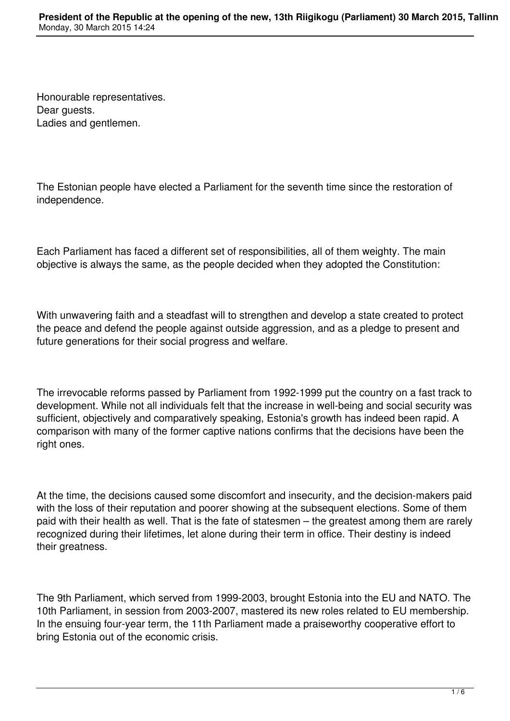Honourable representatives. Dear quests. Ladies and gentlemen.

The Estonian people have elected a Parliament for the seventh time since the restoration of independence.

Each Parliament has faced a different set of responsibilities, all of them weighty. The main objective is always the same, as the people decided when they adopted the Constitution:

With unwavering faith and a steadfast will to strengthen and develop a state created to protect the peace and defend the people against outside aggression, and as a pledge to present and future generations for their social progress and welfare.

The irrevocable reforms passed by Parliament from 1992-1999 put the country on a fast track to development. While not all individuals felt that the increase in well-being and social security was sufficient, objectively and comparatively speaking, Estonia's growth has indeed been rapid. A comparison with many of the former captive nations confirms that the decisions have been the right ones.

At the time, the decisions caused some discomfort and insecurity, and the decision-makers paid with the loss of their reputation and poorer showing at the subsequent elections. Some of them paid with their health as well. That is the fate of statesmen – the greatest among them are rarely recognized during their lifetimes, let alone during their term in office. Their destiny is indeed their greatness.

The 9th Parliament, which served from 1999-2003, brought Estonia into the EU and NATO. The 10th Parliament, in session from 2003-2007, mastered its new roles related to EU membership. In the ensuing four-year term, the 11th Parliament made a praiseworthy cooperative effort to bring Estonia out of the economic crisis.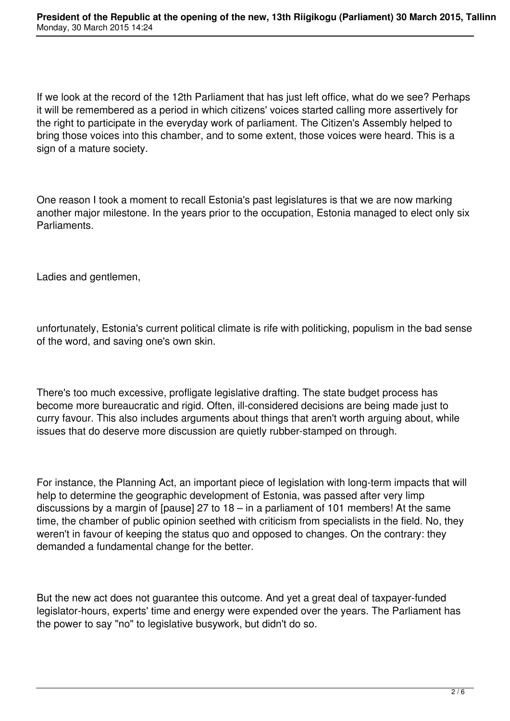If we look at the record of the 12th Parliament that has just left office, what do we see? Perhaps it will be remembered as a period in which citizens' voices started calling more assertively for the right to participate in the everyday work of parliament. The Citizen's Assembly helped to bring those voices into this chamber, and to some extent, those voices were heard. This is a sign of a mature society.

One reason I took a moment to recall Estonia's past legislatures is that we are now marking another major milestone. In the years prior to the occupation, Estonia managed to elect only six Parliaments.

Ladies and gentlemen,

unfortunately, Estonia's current political climate is rife with politicking, populism in the bad sense of the word, and saving one's own skin.

There's too much excessive, profligate legislative drafting. The state budget process has become more bureaucratic and rigid. Often, ill-considered decisions are being made just to curry favour. This also includes arguments about things that aren't worth arguing about, while issues that do deserve more discussion are quietly rubber-stamped on through.

For instance, the Planning Act, an important piece of legislation with long-term impacts that will help to determine the geographic development of Estonia, was passed after very limp discussions by a margin of [pause] 27 to 18 – in a parliament of 101 members! At the same time, the chamber of public opinion seethed with criticism from specialists in the field. No, they weren't in favour of keeping the status quo and opposed to changes. On the contrary: they demanded a fundamental change for the better.

But the new act does not guarantee this outcome. And yet a great deal of taxpayer-funded legislator-hours, experts' time and energy were expended over the years. The Parliament has the power to say "no" to legislative busywork, but didn't do so.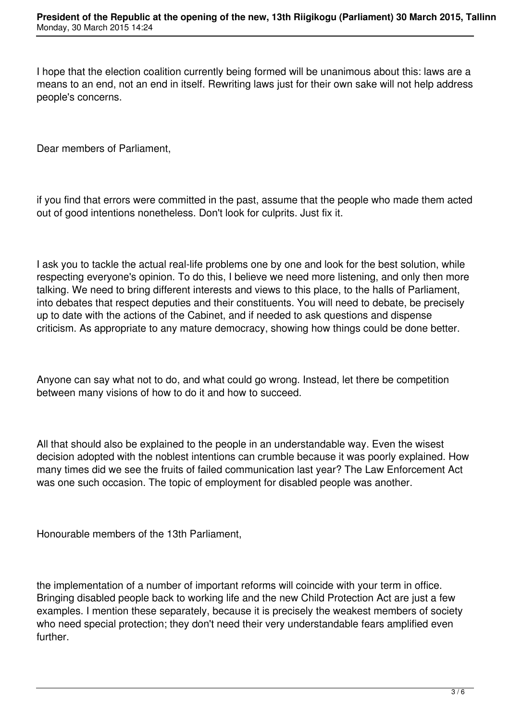I hope that the election coalition currently being formed will be unanimous about this: laws are a means to an end, not an end in itself. Rewriting laws just for their own sake will not help address people's concerns.

Dear members of Parliament,

if you find that errors were committed in the past, assume that the people who made them acted out of good intentions nonetheless. Don't look for culprits. Just fix it.

I ask you to tackle the actual real-life problems one by one and look for the best solution, while respecting everyone's opinion. To do this, I believe we need more listening, and only then more talking. We need to bring different interests and views to this place, to the halls of Parliament, into debates that respect deputies and their constituents. You will need to debate, be precisely up to date with the actions of the Cabinet, and if needed to ask questions and dispense criticism. As appropriate to any mature democracy, showing how things could be done better.

Anyone can say what not to do, and what could go wrong. Instead, let there be competition between many visions of how to do it and how to succeed.

All that should also be explained to the people in an understandable way. Even the wisest decision adopted with the noblest intentions can crumble because it was poorly explained. How many times did we see the fruits of failed communication last year? The Law Enforcement Act was one such occasion. The topic of employment for disabled people was another.

Honourable members of the 13th Parliament,

the implementation of a number of important reforms will coincide with your term in office. Bringing disabled people back to working life and the new Child Protection Act are just a few examples. I mention these separately, because it is precisely the weakest members of society who need special protection; they don't need their very understandable fears amplified even further.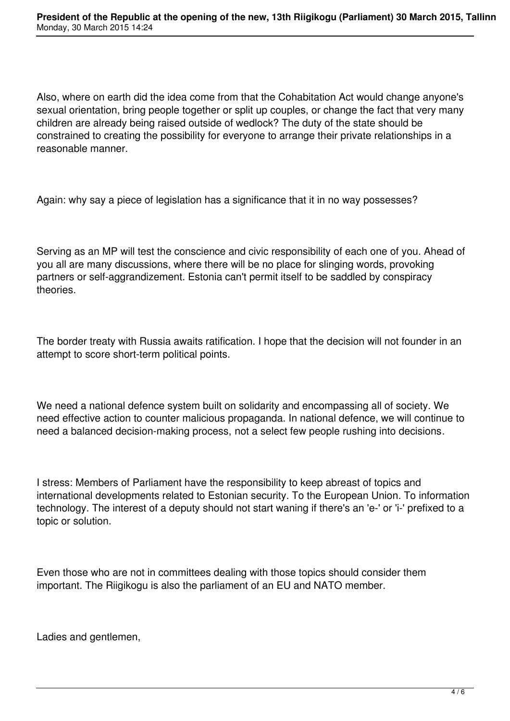Also, where on earth did the idea come from that the Cohabitation Act would change anyone's sexual orientation, bring people together or split up couples, or change the fact that very many children are already being raised outside of wedlock? The duty of the state should be constrained to creating the possibility for everyone to arrange their private relationships in a reasonable manner.

Again: why say a piece of legislation has a significance that it in no way possesses?

Serving as an MP will test the conscience and civic responsibility of each one of you. Ahead of you all are many discussions, where there will be no place for slinging words, provoking partners or self-aggrandizement. Estonia can't permit itself to be saddled by conspiracy theories.

The border treaty with Russia awaits ratification. I hope that the decision will not founder in an attempt to score short-term political points.

We need a national defence system built on solidarity and encompassing all of society. We need effective action to counter malicious propaganda. In national defence, we will continue to need a balanced decision-making process, not a select few people rushing into decisions.

I stress: Members of Parliament have the responsibility to keep abreast of topics and international developments related to Estonian security. To the European Union. To information technology. The interest of a deputy should not start waning if there's an 'e-' or 'i-' prefixed to a topic or solution.

Even those who are not in committees dealing with those topics should consider them important. The Riigikogu is also the parliament of an EU and NATO member.

Ladies and gentlemen,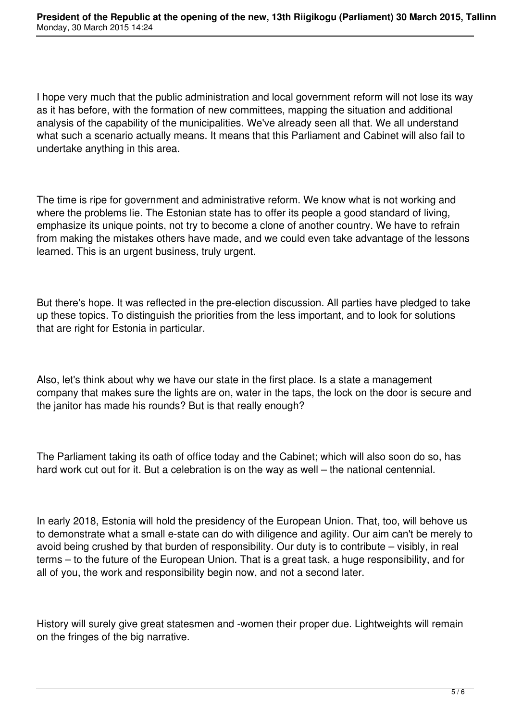I hope very much that the public administration and local government reform will not lose its way as it has before, with the formation of new committees, mapping the situation and additional analysis of the capability of the municipalities. We've already seen all that. We all understand what such a scenario actually means. It means that this Parliament and Cabinet will also fail to undertake anything in this area.

The time is ripe for government and administrative reform. We know what is not working and where the problems lie. The Estonian state has to offer its people a good standard of living, emphasize its unique points, not try to become a clone of another country. We have to refrain from making the mistakes others have made, and we could even take advantage of the lessons learned. This is an urgent business, truly urgent.

But there's hope. It was reflected in the pre-election discussion. All parties have pledged to take up these topics. To distinguish the priorities from the less important, and to look for solutions that are right for Estonia in particular.

Also, let's think about why we have our state in the first place. Is a state a management company that makes sure the lights are on, water in the taps, the lock on the door is secure and the janitor has made his rounds? But is that really enough?

The Parliament taking its oath of office today and the Cabinet; which will also soon do so, has hard work cut out for it. But a celebration is on the way as well – the national centennial.

In early 2018, Estonia will hold the presidency of the European Union. That, too, will behove us to demonstrate what a small e-state can do with diligence and agility. Our aim can't be merely to avoid being crushed by that burden of responsibility. Our duty is to contribute – visibly, in real terms – to the future of the European Union. That is a great task, a huge responsibility, and for all of you, the work and responsibility begin now, and not a second later.

History will surely give great statesmen and -women their proper due. Lightweights will remain on the fringes of the big narrative.